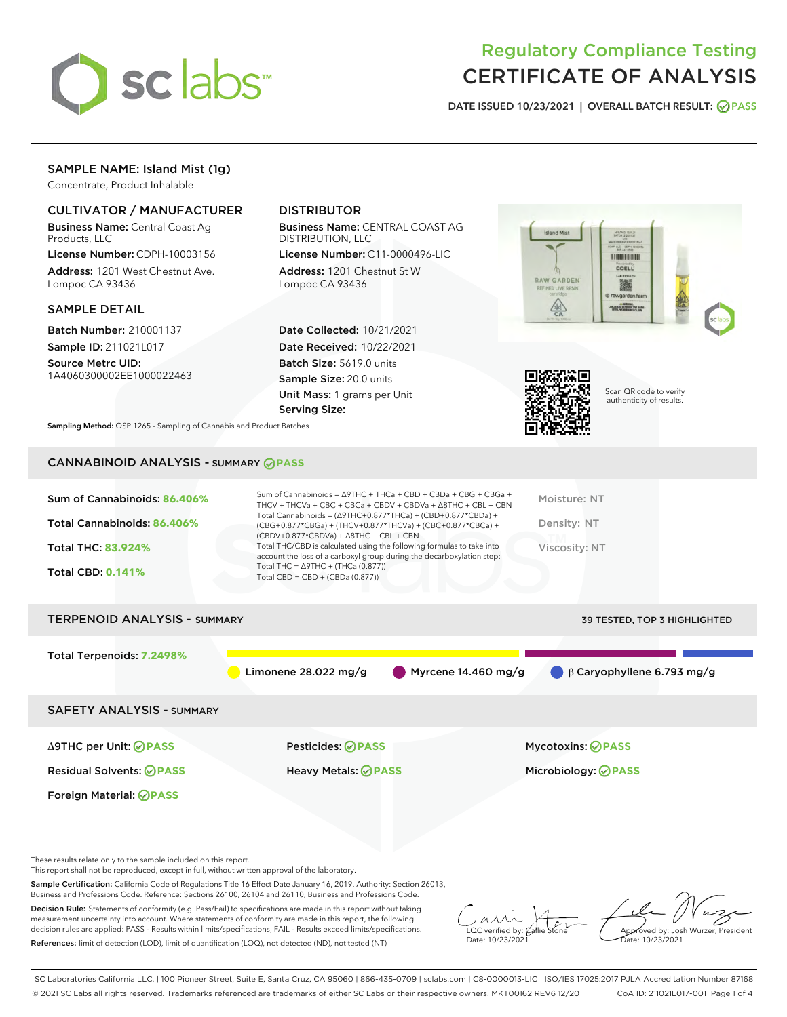

# Regulatory Compliance Testing CERTIFICATE OF ANALYSIS

DATE ISSUED 10/23/2021 | OVERALL BATCH RESULT: @ PASS

# SAMPLE NAME: Island Mist (1g)

Concentrate, Product Inhalable

### CULTIVATOR / MANUFACTURER

Business Name: Central Coast Ag Products, LLC

License Number: CDPH-10003156 Address: 1201 West Chestnut Ave. Lompoc CA 93436

#### SAMPLE DETAIL

Batch Number: 210001137 Sample ID: 211021L017

Source Metrc UID: 1A4060300002EE1000022463

# DISTRIBUTOR

Business Name: CENTRAL COAST AG DISTRIBUTION, LLC

License Number: C11-0000496-LIC Address: 1201 Chestnut St W Lompoc CA 93436

Date Collected: 10/21/2021 Date Received: 10/22/2021 Batch Size: 5619.0 units Sample Size: 20.0 units Unit Mass: 1 grams per Unit Serving Size:





Scan QR code to verify authenticity of results.

Sampling Method: QSP 1265 - Sampling of Cannabis and Product Batches

# CANNABINOID ANALYSIS - SUMMARY **PASS**

| Sum of Cannabinoids: 86.406%<br>Total Cannabinoids: 86.406%<br><b>Total THC: 83.924%</b><br><b>Total CBD: 0.141%</b> | Sum of Cannabinoids = $\triangle$ 9THC + THCa + CBD + CBDa + CBG + CBGa +<br>THCV + THCVa + CBC + CBCa + CBDV + CBDVa + $\triangle$ 8THC + CBL + CBN<br>Total Cannabinoids = $(\Delta$ 9THC+0.877*THCa) + (CBD+0.877*CBDa) +<br>(CBG+0.877*CBGa) + (THCV+0.877*THCVa) + (CBC+0.877*CBCa) +<br>$(CBDV+0.877*CBDVa) + \Delta 8THC + CBL + CBN$<br>Total THC/CBD is calculated using the following formulas to take into<br>account the loss of a carboxyl group during the decarboxylation step:<br>Total THC = $\triangle$ 9THC + (THCa (0.877))<br>Total CBD = CBD + (CBDa (0.877)) | Moisture: NT<br>Density: NT<br>Viscosity: NT    |  |  |  |
|----------------------------------------------------------------------------------------------------------------------|-------------------------------------------------------------------------------------------------------------------------------------------------------------------------------------------------------------------------------------------------------------------------------------------------------------------------------------------------------------------------------------------------------------------------------------------------------------------------------------------------------------------------------------------------------------------------------------|-------------------------------------------------|--|--|--|
| <b>TERPENOID ANALYSIS - SUMMARY</b><br><b>39 TESTED, TOP 3 HIGHLIGHTED</b>                                           |                                                                                                                                                                                                                                                                                                                                                                                                                                                                                                                                                                                     |                                                 |  |  |  |
| Total Terpenoids: 7.2498%                                                                                            | Myrcene 14.460 mg/g<br>Limonene $28.022$ mg/g                                                                                                                                                                                                                                                                                                                                                                                                                                                                                                                                       | $\beta$ Caryophyllene 6.793 mg/g                |  |  |  |
| <b>SAFETY ANALYSIS - SUMMARY</b>                                                                                     |                                                                                                                                                                                                                                                                                                                                                                                                                                                                                                                                                                                     |                                                 |  |  |  |
| ∆9THC per Unit: ⊘PASS<br><b>Residual Solvents: ⊘PASS</b><br><b>Foreign Material: ⊘PASS</b>                           | Pesticides: ⊘PASS<br>Heavy Metals: <b>OPASS</b>                                                                                                                                                                                                                                                                                                                                                                                                                                                                                                                                     | Mycotoxins: ⊘PASS<br>Microbiology: <b>OPASS</b> |  |  |  |
|                                                                                                                      |                                                                                                                                                                                                                                                                                                                                                                                                                                                                                                                                                                                     |                                                 |  |  |  |

These results relate only to the sample included on this report.

This report shall not be reproduced, except in full, without written approval of the laboratory.

Sample Certification: California Code of Regulations Title 16 Effect Date January 16, 2019. Authority: Section 26013, Business and Professions Code. Reference: Sections 26100, 26104 and 26110, Business and Professions Code.

Decision Rule: Statements of conformity (e.g. Pass/Fail) to specifications are made in this report without taking measurement uncertainty into account. Where statements of conformity are made in this report, the following decision rules are applied: PASS – Results within limits/specifications, FAIL – Results exceed limits/specifications. References: limit of detection (LOD), limit of quantification (LOQ), not detected (ND), not tested (NT)

 $\sim$  CC verified by:  $\mathcal{C}$ allie Date: 10/23/2021

Approved by: Josh Wurzer, President Date: 10/23/2021

SC Laboratories California LLC. | 100 Pioneer Street, Suite E, Santa Cruz, CA 95060 | 866-435-0709 | sclabs.com | C8-0000013-LIC | ISO/IES 17025:2017 PJLA Accreditation Number 87168 © 2021 SC Labs all rights reserved. Trademarks referenced are trademarks of either SC Labs or their respective owners. MKT00162 REV6 12/20 CoA ID: 211021L017-001 Page 1 of 4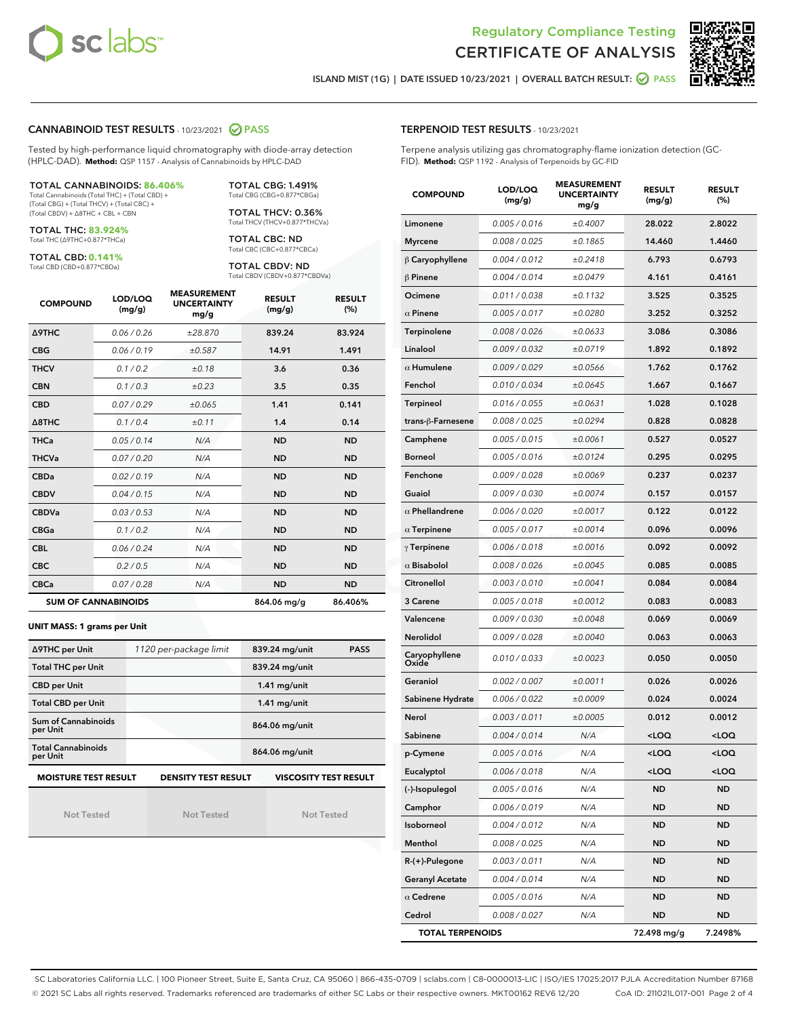



ISLAND MIST (1G) | DATE ISSUED 10/23/2021 | OVERALL BATCH RESULT: @ PASS

#### CANNABINOID TEST RESULTS - 10/23/2021 2 PASS

Tested by high-performance liquid chromatography with diode-array detection (HPLC-DAD). **Method:** QSP 1157 - Analysis of Cannabinoids by HPLC-DAD

#### TOTAL CANNABINOIDS: **86.406%**

Total Cannabinoids (Total THC) + (Total CBD) + (Total CBG) + (Total THCV) + (Total CBC) + (Total CBDV) + ∆8THC + CBL + CBN

TOTAL THC: **83.924%** Total THC (∆9THC+0.877\*THCa)

TOTAL CBD: **0.141%**

Total CBD (CBD+0.877\*CBDa)

TOTAL CBG: 1.491% Total CBG (CBG+0.877\*CBGa)

TOTAL THCV: 0.36% Total THCV (THCV+0.877\*THCVa)

TOTAL CBC: ND Total CBC (CBC+0.877\*CBCa)

TOTAL CBDV: ND Total CBDV (CBDV+0.877\*CBDVa)

| <b>COMPOUND</b>  | LOD/LOQ<br>(mg/g)          | <b>MEASUREMENT</b><br><b>UNCERTAINTY</b><br>mg/g | <b>RESULT</b><br>(mg/g) | <b>RESULT</b><br>(%) |
|------------------|----------------------------|--------------------------------------------------|-------------------------|----------------------|
| <b>A9THC</b>     | 0.06 / 0.26                | ±28.870                                          | 839.24                  | 83.924               |
| <b>CBG</b>       | 0.06/0.19                  | ±0.587                                           | 14.91                   | 1.491                |
| <b>THCV</b>      | 0.1/0.2                    | ±0.18                                            | 3.6                     | 0.36                 |
| <b>CBN</b>       | 0.1/0.3                    | $\pm 0.23$                                       | 3.5                     | 0.35                 |
| <b>CBD</b>       | 0.07/0.29                  | ±0.065                                           | 1.41                    | 0.141                |
| $\triangle$ 8THC | 0.1 / 0.4                  | ±0.11                                            | 1.4                     | 0.14                 |
| <b>THCa</b>      | 0.05/0.14                  | N/A                                              | <b>ND</b>               | <b>ND</b>            |
| <b>THCVa</b>     | 0.07/0.20                  | N/A                                              | <b>ND</b>               | <b>ND</b>            |
| <b>CBDa</b>      | 0.02/0.19                  | N/A                                              | <b>ND</b>               | <b>ND</b>            |
| <b>CBDV</b>      | 0.04 / 0.15                | N/A                                              | <b>ND</b>               | <b>ND</b>            |
| <b>CBDVa</b>     | 0.03/0.53                  | N/A                                              | <b>ND</b>               | <b>ND</b>            |
| <b>CBGa</b>      | 0.1/0.2                    | N/A                                              | <b>ND</b>               | <b>ND</b>            |
| <b>CBL</b>       | 0.06 / 0.24                | N/A                                              | <b>ND</b>               | <b>ND</b>            |
| <b>CBC</b>       | 0.2 / 0.5                  | N/A                                              | <b>ND</b>               | <b>ND</b>            |
| <b>CBCa</b>      | 0.07/0.28                  | N/A                                              | <b>ND</b>               | <b>ND</b>            |
|                  | <b>SUM OF CANNABINOIDS</b> |                                                  | 864.06 mg/g             | 86.406%              |

**UNIT MASS: 1 grams per Unit**

| ∆9THC per Unit                                                                            | 1120 per-package limit | 839.24 mg/unit<br><b>PASS</b> |  |  |  |
|-------------------------------------------------------------------------------------------|------------------------|-------------------------------|--|--|--|
| <b>Total THC per Unit</b>                                                                 |                        | 839.24 mg/unit                |  |  |  |
| <b>CBD per Unit</b>                                                                       |                        | $1.41$ mg/unit                |  |  |  |
| <b>Total CBD per Unit</b>                                                                 |                        | $1.41$ mg/unit                |  |  |  |
| Sum of Cannabinoids<br>per Unit                                                           |                        | 864.06 mg/unit                |  |  |  |
| <b>Total Cannabinoids</b><br>per Unit                                                     |                        | 864.06 mg/unit                |  |  |  |
| <b>MOISTURE TEST RESULT</b><br><b>VISCOSITY TEST RESULT</b><br><b>DENSITY TEST RESULT</b> |                        |                               |  |  |  |

Not Tested

Not Tested

Not Tested

|  | <b>TERPENOID TEST RESULTS - 10/23/2021</b> |  |
|--|--------------------------------------------|--|
|--|--------------------------------------------|--|

Terpene analysis utilizing gas chromatography-flame ionization detection (GC-FID). **Method:** QSP 1192 - Analysis of Terpenoids by GC-FID

| <b>COMPOUND</b>         | LOD/LOQ<br>(mg/g) | <b>MEASUREMENT</b><br><b>UNCERTAINTY</b><br>mg/g | <b>RESULT</b><br>(mg/g)                         | <b>RESULT</b><br>(%) |
|-------------------------|-------------------|--------------------------------------------------|-------------------------------------------------|----------------------|
| Limonene                | 0.005 / 0.016     | ±0.4007                                          | 28.022                                          | 2.8022               |
| <b>Myrcene</b>          | 0.008 / 0.025     | ±0.1865                                          | 14.460                                          | 1.4460               |
| $\beta$ Caryophyllene   | 0.004 / 0.012     | ±0.2418                                          | 6.793                                           | 0.6793               |
| $\beta$ Pinene          | 0.004 / 0.014     | ±0.0479                                          | 4.161                                           | 0.4161               |
| Ocimene                 | 0.011 / 0.038     | ±0.1132                                          | 3.525                                           | 0.3525               |
| $\alpha$ Pinene         | 0.005 / 0.017     | ±0.0280                                          | 3.252                                           | 0.3252               |
| Terpinolene             | 0.008 / 0.026     | ±0.0633                                          | 3.086                                           | 0.3086               |
| Linalool                | 0.009 / 0.032     | ±0.0719                                          | 1.892                                           | 0.1892               |
| $\alpha$ Humulene       | 0.009/0.029       | ±0.0566                                          | 1.762                                           | 0.1762               |
| Fenchol                 | 0.010 / 0.034     | ±0.0645                                          | 1.667                                           | 0.1667               |
| Terpineol               | 0.016 / 0.055     | ±0.0631                                          | 1.028                                           | 0.1028               |
| trans-ß-Farnesene       | 0.008 / 0.025     | ±0.0294                                          | 0.828                                           | 0.0828               |
| Camphene                | 0.005 / 0.015     | ±0.0061                                          | 0.527                                           | 0.0527               |
| <b>Borneol</b>          | 0.005 / 0.016     | ±0.0124                                          | 0.295                                           | 0.0295               |
| Fenchone                | 0.009 / 0.028     | ±0.0069                                          | 0.237                                           | 0.0237               |
| Guaiol                  | 0.009 / 0.030     | ±0.0074                                          | 0.157                                           | 0.0157               |
| $\alpha$ Phellandrene   | 0.006 / 0.020     | ±0.0017                                          | 0.122                                           | 0.0122               |
| $\alpha$ Terpinene      | 0.005 / 0.017     | ±0.0014                                          | 0.096                                           | 0.0096               |
| $\gamma$ Terpinene      | 0.006 / 0.018     | ±0.0016                                          | 0.092                                           | 0.0092               |
| $\alpha$ Bisabolol      | 0.008 / 0.026     | ±0.0045                                          | 0.085                                           | 0.0085               |
| Citronellol             | 0.003 / 0.010     | ±0.0041                                          | 0.084                                           | 0.0084               |
| 3 Carene                | 0.005 / 0.018     | ±0.0012                                          | 0.083                                           | 0.0083               |
| Valencene               | 0.009 / 0.030     | ±0.0048                                          | 0.069                                           | 0.0069               |
| Nerolidol               | 0.009 / 0.028     | ±0.0040                                          | 0.063                                           | 0.0063               |
| Caryophyllene<br>Oxide  | 0.010 / 0.033     | ±0.0023                                          | 0.050                                           | 0.0050               |
| Geraniol                | 0.002 / 0.007     | ±0.0011                                          | 0.026                                           | 0.0026               |
| Sabinene Hydrate        | 0.006 / 0.022     | ±0.0009                                          | 0.024                                           | 0.0024               |
| Nerol                   | 0.003 / 0.011     | ±0.0005                                          | 0.012                                           | 0.0012               |
| Sabinene                | 0.004 / 0.014     | N/A                                              | <loq< th=""><th><loq< th=""></loq<></th></loq<> | <loq< th=""></loq<>  |
| p-Cymene                | 0.005 / 0.016     | N/A                                              | <loq< th=""><th><loq< th=""></loq<></th></loq<> | <loq< th=""></loq<>  |
| Eucalyptol              | 0.006 / 0.018     | N/A                                              | <loq< th=""><th><loq< th=""></loq<></th></loq<> | <loq< th=""></loq<>  |
| (-)-Isopulegol          | 0.005 / 0.016     | N/A                                              | ND                                              | ND                   |
| Camphor                 | 0.006 / 0.019     | N/A                                              | <b>ND</b>                                       | ND                   |
| Isoborneol              | 0.004 / 0.012     | N/A                                              | <b>ND</b>                                       | <b>ND</b>            |
| Menthol                 | 0.008 / 0.025     | N/A                                              | ND                                              | ND                   |
| $R-(+)$ -Pulegone       | 0.003 / 0.011     | N/A                                              | ND                                              | ND                   |
| <b>Geranyl Acetate</b>  | 0.004 / 0.014     | N/A                                              | <b>ND</b>                                       | <b>ND</b>            |
| $\alpha$ Cedrene        | 0.005 / 0.016     | N/A                                              | ND                                              | ND                   |
| Cedrol                  | 0.008 / 0.027     | N/A                                              | <b>ND</b>                                       | ND                   |
| <b>TOTAL TERPENOIDS</b> |                   | 72.498 mg/g                                      | 7.2498%                                         |                      |

SC Laboratories California LLC. | 100 Pioneer Street, Suite E, Santa Cruz, CA 95060 | 866-435-0709 | sclabs.com | C8-0000013-LIC | ISO/IES 17025:2017 PJLA Accreditation Number 87168 © 2021 SC Labs all rights reserved. Trademarks referenced are trademarks of either SC Labs or their respective owners. MKT00162 REV6 12/20 CoA ID: 211021L017-001 Page 2 of 4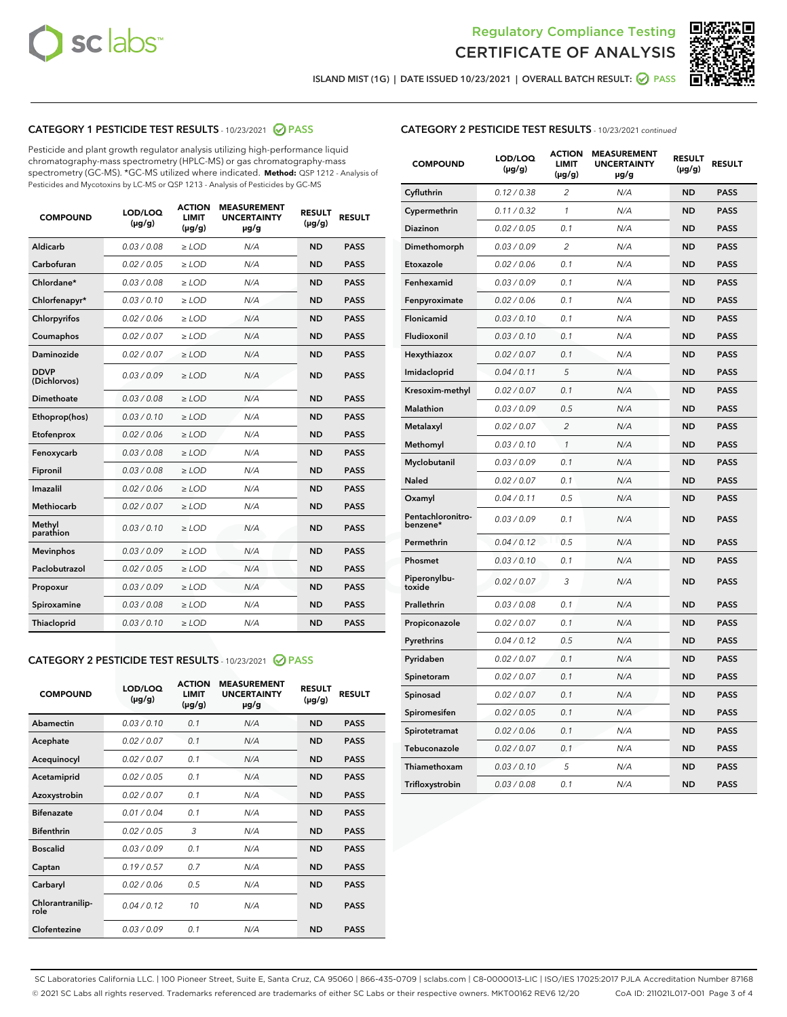



ISLAND MIST (1G) | DATE ISSUED 10/23/2021 | OVERALL BATCH RESULT:  $\bigcirc$  PASS

## CATEGORY 1 PESTICIDE TEST RESULTS - 10/23/2021 2 PASS

Pesticide and plant growth regulator analysis utilizing high-performance liquid chromatography-mass spectrometry (HPLC-MS) or gas chromatography-mass spectrometry (GC-MS). \*GC-MS utilized where indicated. **Method:** QSP 1212 - Analysis of Pesticides and Mycotoxins by LC-MS or QSP 1213 - Analysis of Pesticides by GC-MS

| <b>COMPOUND</b>             | LOD/LOQ<br>$(\mu g/g)$ | <b>ACTION</b><br><b>LIMIT</b><br>$(\mu g/g)$ | <b>MEASUREMENT</b><br><b>UNCERTAINTY</b><br>µg/g | <b>RESULT</b><br>$(\mu g/g)$ | <b>RESULT</b> |
|-----------------------------|------------------------|----------------------------------------------|--------------------------------------------------|------------------------------|---------------|
| Aldicarb                    | 0.03/0.08              | $>$ LOD                                      | N/A                                              | <b>ND</b>                    | <b>PASS</b>   |
| Carbofuran                  | 0.02 / 0.05            | $\ge$ LOD                                    | N/A                                              | <b>ND</b>                    | <b>PASS</b>   |
| Chlordane*                  | 0.03/0.08              | $>$ LOD                                      | N/A                                              | <b>ND</b>                    | <b>PASS</b>   |
| Chlorfenapyr*               | 0.03 / 0.10            | $\ge$ LOD                                    | N/A                                              | <b>ND</b>                    | <b>PASS</b>   |
| Chlorpyrifos                | 0.02 / 0.06            | $\ge$ LOD                                    | N/A                                              | <b>ND</b>                    | <b>PASS</b>   |
| Coumaphos                   | 0.02 / 0.07            | $\ge$ LOD                                    | N/A                                              | <b>ND</b>                    | <b>PASS</b>   |
| Daminozide                  | 0.02 / 0.07            | $\ge$ LOD                                    | N/A                                              | <b>ND</b>                    | <b>PASS</b>   |
| <b>DDVP</b><br>(Dichlorvos) | 0.03/0.09              | $\ge$ LOD                                    | N/A                                              | <b>ND</b>                    | <b>PASS</b>   |
| <b>Dimethoate</b>           | 0.03 / 0.08            | $\ge$ LOD                                    | N/A                                              | <b>ND</b>                    | <b>PASS</b>   |
| Ethoprop(hos)               | 0.03/0.10              | $\ge$ LOD                                    | N/A                                              | <b>ND</b>                    | <b>PASS</b>   |
| Etofenprox                  | 0.02 / 0.06            | $\ge$ LOD                                    | N/A                                              | <b>ND</b>                    | <b>PASS</b>   |
| Fenoxycarb                  | 0.03 / 0.08            | $\ge$ LOD                                    | N/A                                              | <b>ND</b>                    | <b>PASS</b>   |
| Fipronil                    | 0.03/0.08              | $>$ LOD                                      | N/A                                              | <b>ND</b>                    | <b>PASS</b>   |
| Imazalil                    | 0.02 / 0.06            | $\ge$ LOD                                    | N/A                                              | <b>ND</b>                    | <b>PASS</b>   |
| Methiocarb                  | 0.02 / 0.07            | $\ge$ LOD                                    | N/A                                              | <b>ND</b>                    | <b>PASS</b>   |
| Methyl<br>parathion         | 0.03/0.10              | $\ge$ LOD                                    | N/A                                              | <b>ND</b>                    | <b>PASS</b>   |
| <b>Mevinphos</b>            | 0.03/0.09              | $\ge$ LOD                                    | N/A                                              | <b>ND</b>                    | <b>PASS</b>   |
| Paclobutrazol               | 0.02 / 0.05            | $>$ LOD                                      | N/A                                              | <b>ND</b>                    | <b>PASS</b>   |
| Propoxur                    | 0.03/0.09              | $\ge$ LOD                                    | N/A                                              | <b>ND</b>                    | <b>PASS</b>   |
| Spiroxamine                 | 0.03 / 0.08            | $\ge$ LOD                                    | N/A                                              | <b>ND</b>                    | <b>PASS</b>   |
| Thiacloprid                 | 0.03/0.10              | $\ge$ LOD                                    | N/A                                              | <b>ND</b>                    | <b>PASS</b>   |

#### CATEGORY 2 PESTICIDE TEST RESULTS - 10/23/2021 @ PASS

| <b>COMPOUND</b>          | LOD/LOQ<br>$(\mu g/g)$ | <b>ACTION</b><br><b>LIMIT</b><br>$(\mu g/g)$ | <b>MEASUREMENT</b><br><b>UNCERTAINTY</b><br>$\mu$ g/g | <b>RESULT</b><br>$(\mu g/g)$ | <b>RESULT</b> |
|--------------------------|------------------------|----------------------------------------------|-------------------------------------------------------|------------------------------|---------------|
| Abamectin                | 0.03/0.10              | 0.1                                          | N/A                                                   | <b>ND</b>                    | <b>PASS</b>   |
| Acephate                 | 0.02/0.07              | 0.1                                          | N/A                                                   | <b>ND</b>                    | <b>PASS</b>   |
| Acequinocyl              | 0.02/0.07              | 0.1                                          | N/A                                                   | <b>ND</b>                    | <b>PASS</b>   |
| Acetamiprid              | 0.02/0.05              | 0.1                                          | N/A                                                   | <b>ND</b>                    | <b>PASS</b>   |
| Azoxystrobin             | 0.02/0.07              | 0.1                                          | N/A                                                   | <b>ND</b>                    | <b>PASS</b>   |
| <b>Bifenazate</b>        | 0.01/0.04              | 0.1                                          | N/A                                                   | <b>ND</b>                    | <b>PASS</b>   |
| <b>Bifenthrin</b>        | 0.02 / 0.05            | 3                                            | N/A                                                   | <b>ND</b>                    | <b>PASS</b>   |
| <b>Boscalid</b>          | 0.03/0.09              | 0.1                                          | N/A                                                   | <b>ND</b>                    | <b>PASS</b>   |
| Captan                   | 0.19/0.57              | 0.7                                          | N/A                                                   | <b>ND</b>                    | <b>PASS</b>   |
| Carbaryl                 | 0.02/0.06              | 0.5                                          | N/A                                                   | <b>ND</b>                    | <b>PASS</b>   |
| Chlorantranilip-<br>role | 0.04/0.12              | 10                                           | N/A                                                   | <b>ND</b>                    | <b>PASS</b>   |
| Clofentezine             | 0.03/0.09              | 0.1                                          | N/A                                                   | <b>ND</b>                    | <b>PASS</b>   |

#### CATEGORY 2 PESTICIDE TEST RESULTS - 10/23/2021 continued

| <b>COMPOUND</b>               | LOD/LOQ<br>(µg/g) | <b>ACTION</b><br><b>LIMIT</b><br>$(\mu g/g)$ | <b>MEASUREMENT</b><br><b>UNCERTAINTY</b><br>µg/g | <b>RESULT</b><br>$(\mu g/g)$ | <b>RESULT</b> |
|-------------------------------|-------------------|----------------------------------------------|--------------------------------------------------|------------------------------|---------------|
| Cyfluthrin                    | 0.12 / 0.38       | $\overline{\mathcal{L}}$                     | N/A                                              | <b>ND</b>                    | <b>PASS</b>   |
| Cypermethrin                  | 0.11 / 0.32       | $\mathbf{1}$                                 | N/A                                              | <b>ND</b>                    | <b>PASS</b>   |
| Diazinon                      | 0.02 / 0.05       | 0.1                                          | N/A                                              | <b>ND</b>                    | <b>PASS</b>   |
| Dimethomorph                  | 0.03 / 0.09       | $\overline{c}$                               | N/A                                              | <b>ND</b>                    | <b>PASS</b>   |
| Etoxazole                     | 0.02 / 0.06       | 0.1                                          | N/A                                              | <b>ND</b>                    | <b>PASS</b>   |
| Fenhexamid                    | 0.03 / 0.09       | 0.1                                          | N/A                                              | <b>ND</b>                    | <b>PASS</b>   |
| Fenpyroximate                 | 0.02 / 0.06       | 0.1                                          | N/A                                              | <b>ND</b>                    | <b>PASS</b>   |
| Flonicamid                    | 0.03 / 0.10       | 0.1                                          | N/A                                              | <b>ND</b>                    | <b>PASS</b>   |
| Fludioxonil                   | 0.03 / 0.10       | 0.1                                          | N/A                                              | <b>ND</b>                    | <b>PASS</b>   |
| Hexythiazox                   | 0.02 / 0.07       | 0.1                                          | N/A                                              | <b>ND</b>                    | <b>PASS</b>   |
| Imidacloprid                  | 0.04 / 0.11       | 5                                            | N/A                                              | <b>ND</b>                    | <b>PASS</b>   |
| Kresoxim-methyl               | 0.02 / 0.07       | 0.1                                          | N/A                                              | <b>ND</b>                    | <b>PASS</b>   |
| <b>Malathion</b>              | 0.03 / 0.09       | 0.5                                          | N/A                                              | <b>ND</b>                    | <b>PASS</b>   |
| Metalaxyl                     | 0.02 / 0.07       | $\overline{2}$                               | N/A                                              | <b>ND</b>                    | <b>PASS</b>   |
| Methomyl                      | 0.03 / 0.10       | $\mathbf{1}$                                 | N/A                                              | <b>ND</b>                    | <b>PASS</b>   |
| Myclobutanil                  | 0.03 / 0.09       | 0.1                                          | N/A                                              | <b>ND</b>                    | <b>PASS</b>   |
| <b>Naled</b>                  | 0.02 / 0.07       | 0.1                                          | N/A                                              | <b>ND</b>                    | <b>PASS</b>   |
| Oxamyl                        | 0.04 / 0.11       | 0.5                                          | N/A                                              | <b>ND</b>                    | <b>PASS</b>   |
| Pentachloronitro-<br>benzene* | 0.03 / 0.09       | 0.1                                          | N/A                                              | <b>ND</b>                    | <b>PASS</b>   |
| Permethrin                    | 0.04/0.12         | 0.5                                          | N/A                                              | <b>ND</b>                    | <b>PASS</b>   |
| Phosmet                       | 0.03 / 0.10       | 0.1                                          | N/A                                              | <b>ND</b>                    | <b>PASS</b>   |
| Piperonylbu-<br>toxide        | 0.02 / 0.07       | 3                                            | N/A                                              | <b>ND</b>                    | <b>PASS</b>   |
| Prallethrin                   | 0.03 / 0.08       | 0.1                                          | N/A                                              | <b>ND</b>                    | <b>PASS</b>   |
| Propiconazole                 | 0.02 / 0.07       | 0.1                                          | N/A                                              | <b>ND</b>                    | <b>PASS</b>   |
| Pyrethrins                    | 0.04 / 0.12       | 0.5                                          | N/A                                              | <b>ND</b>                    | <b>PASS</b>   |
| Pyridaben                     | 0.02 / 0.07       | 0.1                                          | N/A                                              | <b>ND</b>                    | <b>PASS</b>   |
| Spinetoram                    | 0.02 / 0.07       | 0.1                                          | N/A                                              | <b>ND</b>                    | <b>PASS</b>   |
| Spinosad                      | 0.02 / 0.07       | 0.1                                          | N/A                                              | <b>ND</b>                    | <b>PASS</b>   |
| Spiromesifen                  | 0.02 / 0.05       | 0.1                                          | N/A                                              | <b>ND</b>                    | <b>PASS</b>   |
| Spirotetramat                 | 0.02 / 0.06       | 0.1                                          | N/A                                              | <b>ND</b>                    | <b>PASS</b>   |
| Tebuconazole                  | 0.02 / 0.07       | 0.1                                          | N/A                                              | <b>ND</b>                    | <b>PASS</b>   |
| Thiamethoxam                  | 0.03 / 0.10       | 5                                            | N/A                                              | <b>ND</b>                    | <b>PASS</b>   |
| Trifloxystrobin               | 0.03 / 0.08       | 0.1                                          | N/A                                              | <b>ND</b>                    | <b>PASS</b>   |

SC Laboratories California LLC. | 100 Pioneer Street, Suite E, Santa Cruz, CA 95060 | 866-435-0709 | sclabs.com | C8-0000013-LIC | ISO/IES 17025:2017 PJLA Accreditation Number 87168 © 2021 SC Labs all rights reserved. Trademarks referenced are trademarks of either SC Labs or their respective owners. MKT00162 REV6 12/20 CoA ID: 211021L017-001 Page 3 of 4